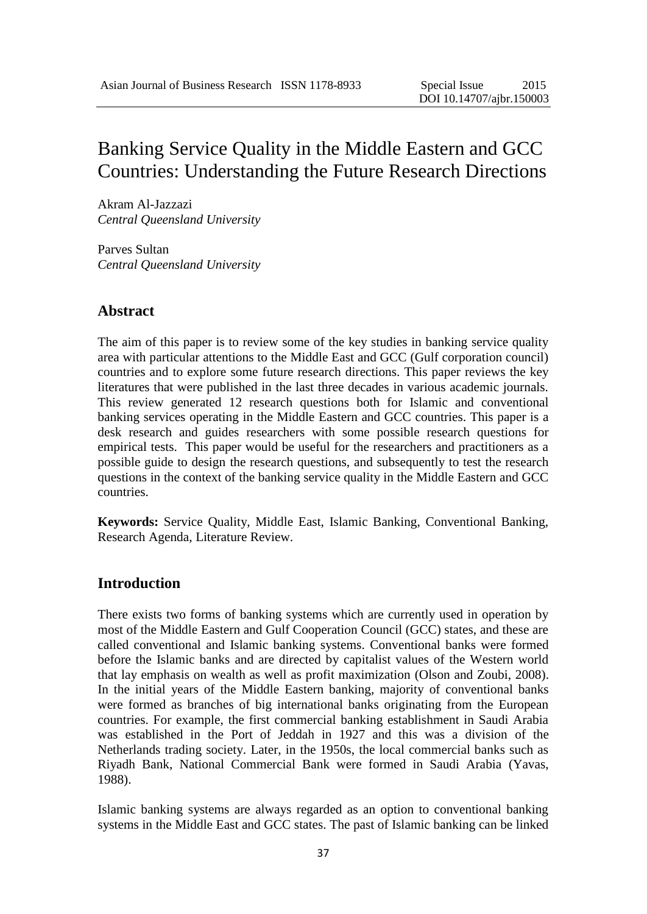# Banking Service Quality in the Middle Eastern and GCC Countries: Understanding the Future Research Directions

Akram Al-Jazzazi *Central Queensland University*

Parves Sultan *Central Queensland University*

#### **Abstract**

The aim of this paper is to review some of the key studies in banking service quality area with particular attentions to the Middle East and GCC (Gulf corporation council) countries and to explore some future research directions. This paper reviews the key literatures that were published in the last three decades in various academic journals. This review generated 12 research questions both for Islamic and conventional banking services operating in the Middle Eastern and GCC countries. This paper is a desk research and guides researchers with some possible research questions for empirical tests. This paper would be useful for the researchers and practitioners as a possible guide to design the research questions, and subsequently to test the research questions in the context of the banking service quality in the Middle Eastern and GCC countries.

**Keywords:** Service Quality, Middle East, Islamic Banking, Conventional Banking, Research Agenda, Literature Review.

#### **Introduction**

There exists two forms of banking systems which are currently used in operation by most of the Middle Eastern and Gulf Cooperation Council (GCC) states, and these are called conventional and Islamic banking systems. Conventional banks were formed before the Islamic banks and are directed by capitalist values of the Western world that lay emphasis on wealth as well as profit maximization (Olson and Zoubi, 2008). In the initial years of the Middle Eastern banking, majority of conventional banks were formed as branches of big international banks originating from the European countries. For example, the first commercial banking establishment in Saudi Arabia was established in the Port of Jeddah in 1927 and this was a division of the Netherlands trading society. Later, in the 1950s, the local commercial banks such as Riyadh Bank, National Commercial Bank were formed in Saudi Arabia (Yavas, 1988).

Islamic banking systems are always regarded as an option to conventional banking systems in the Middle East and GCC states. The past of Islamic banking can be linked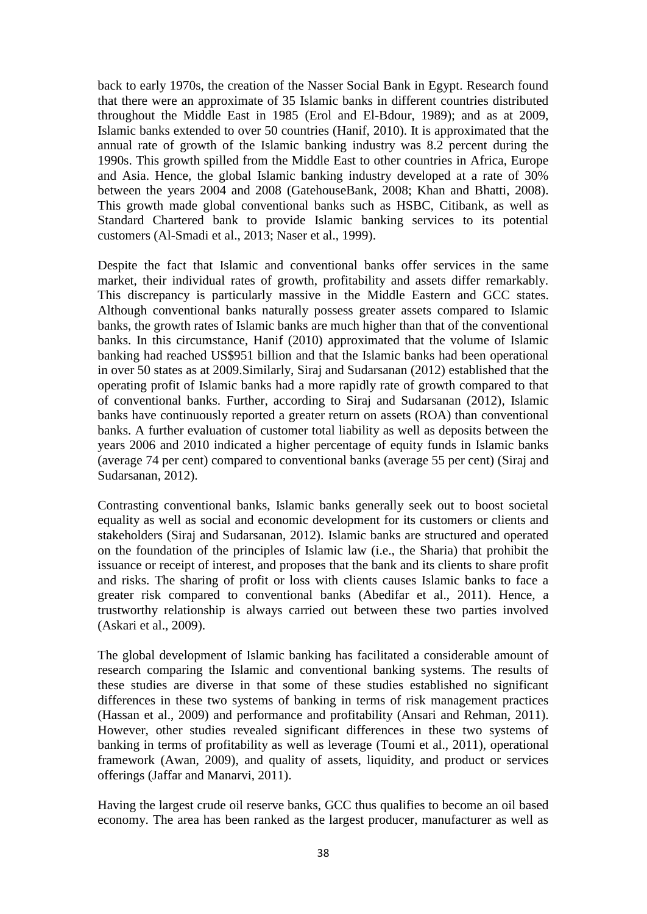back to early 1970s, the creation of the Nasser Social Bank in Egypt. Research found that there were an approximate of 35 Islamic banks in different countries distributed throughout the Middle East in 1985 (Erol and El-Bdour, 1989); and as at 2009, Islamic banks extended to over 50 countries (Hanif, 2010). It is approximated that the annual rate of growth of the Islamic banking industry was 8.2 percent during the 1990s. This growth spilled from the Middle East to other countries in Africa, Europe and Asia. Hence, the global Islamic banking industry developed at a rate of 30% between the years 2004 and 2008 (GatehouseBank, 2008; Khan and Bhatti, 2008). This growth made global conventional banks such as HSBC, Citibank, as well as Standard Chartered bank to provide Islamic banking services to its potential customers (Al-Smadi et al., 2013; Naser et al., 1999).

Despite the fact that Islamic and conventional banks offer services in the same market, their individual rates of growth, profitability and assets differ remarkably. This discrepancy is particularly massive in the Middle Eastern and GCC states. Although conventional banks naturally possess greater assets compared to Islamic banks, the growth rates of Islamic banks are much higher than that of the conventional banks. In this circumstance, Hanif (2010) approximated that the volume of Islamic banking had reached US\$951 billion and that the Islamic banks had been operational in over 50 states as at 2009.Similarly, Siraj and Sudarsanan (2012) established that the operating profit of Islamic banks had a more rapidly rate of growth compared to that of conventional banks. Further, according to Siraj and Sudarsanan (2012), Islamic banks have continuously reported a greater return on assets (ROA) than conventional banks. A further evaluation of customer total liability as well as deposits between the years 2006 and 2010 indicated a higher percentage of equity funds in Islamic banks (average 74 per cent) compared to conventional banks (average 55 per cent) (Siraj and Sudarsanan, 2012).

Contrasting conventional banks, Islamic banks generally seek out to boost societal equality as well as social and economic development for its customers or clients and stakeholders (Siraj and Sudarsanan, 2012). Islamic banks are structured and operated on the foundation of the principles of Islamic law (i.e., the Sharia) that prohibit the issuance or receipt of interest, and proposes that the bank and its clients to share profit and risks. The sharing of profit or loss with clients causes Islamic banks to face a greater risk compared to conventional banks (Abedifar et al., 2011). Hence, a trustworthy relationship is always carried out between these two parties involved (Askari et al., 2009).

The global development of Islamic banking has facilitated a considerable amount of research comparing the Islamic and conventional banking systems. The results of these studies are diverse in that some of these studies established no significant differences in these two systems of banking in terms of risk management practices (Hassan et al., 2009) and performance and profitability (Ansari and Rehman, 2011). However, other studies revealed significant differences in these two systems of banking in terms of profitability as well as leverage (Toumi et al., 2011), operational framework (Awan, 2009), and quality of assets, liquidity, and product or services offerings (Jaffar and Manarvi, 2011).

Having the largest crude oil reserve banks, GCC thus qualifies to become an oil based economy. The area has been ranked as the largest producer, manufacturer as well as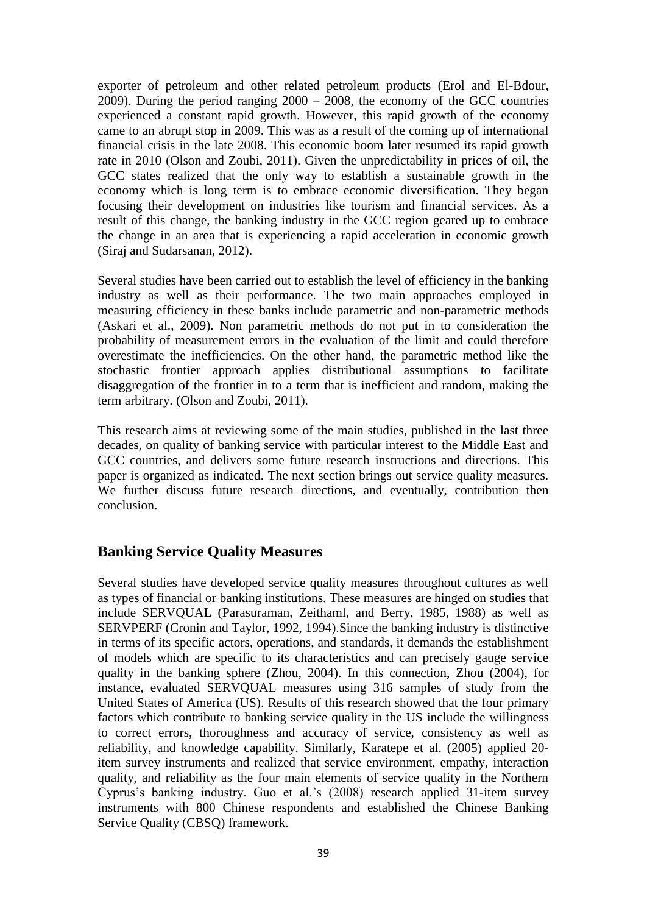exporter of petroleum and other related petroleum products (Erol and El-Bdour, 2009). During the period ranging 2000 – 2008, the economy of the GCC countries experienced a constant rapid growth. However, this rapid growth of the economy came to an abrupt stop in 2009. This was as a result of the coming up of international financial crisis in the late 2008. This economic boom later resumed its rapid growth rate in 2010 (Olson and Zoubi, 2011). Given the unpredictability in prices of oil, the GCC states realized that the only way to establish a sustainable growth in the economy which is long term is to embrace economic diversification. They began focusing their development on industries like tourism and financial services. As a result of this change, the banking industry in the GCC region geared up to embrace the change in an area that is experiencing a rapid acceleration in economic growth (Siraj and Sudarsanan, 2012).

Several studies have been carried out to establish the level of efficiency in the banking industry as well as their performance. The two main approaches employed in measuring efficiency in these banks include parametric and non-parametric methods (Askari et al., 2009). Non parametric methods do not put in to consideration the probability of measurement errors in the evaluation of the limit and could therefore overestimate the inefficiencies. On the other hand, the parametric method like the stochastic frontier approach applies distributional assumptions to facilitate disaggregation of the frontier in to a term that is inefficient and random, making the term arbitrary. (Olson and Zoubi, 2011).

This research aims at reviewing some of the main studies, published in the last three decades, on quality of banking service with particular interest to the Middle East and GCC countries, and delivers some future research instructions and directions. This paper is organized as indicated. The next section brings out service quality measures. We further discuss future research directions, and eventually, contribution then conclusion.

### **Banking Service Quality Measures**

Several studies have developed service quality measures throughout cultures as well as types of financial or banking institutions. These measures are hinged on studies that include SERVQUAL (Parasuraman, Zeithaml, and Berry, 1985, 1988) as well as SERVPERF (Cronin and Taylor, 1992, 1994).Since the banking industry is distinctive in terms of its specific actors, operations, and standards, it demands the establishment of models which are specific to its characteristics and can precisely gauge service quality in the banking sphere (Zhou, 2004). In this connection, Zhou (2004), for instance, evaluated SERVQUAL measures using 316 samples of study from the United States of America (US). Results of this research showed that the four primary factors which contribute to banking service quality in the US include the willingness to correct errors, thoroughness and accuracy of service, consistency as well as reliability, and knowledge capability. Similarly, Karatepe et al. (2005) applied 20 item survey instruments and realized that service environment, empathy, interaction quality, and reliability as the four main elements of service quality in the Northern Cyprus's banking industry. Guo et al.'s (2008) research applied 31-item survey instruments with 800 Chinese respondents and established the Chinese Banking Service Quality (CBSQ) framework.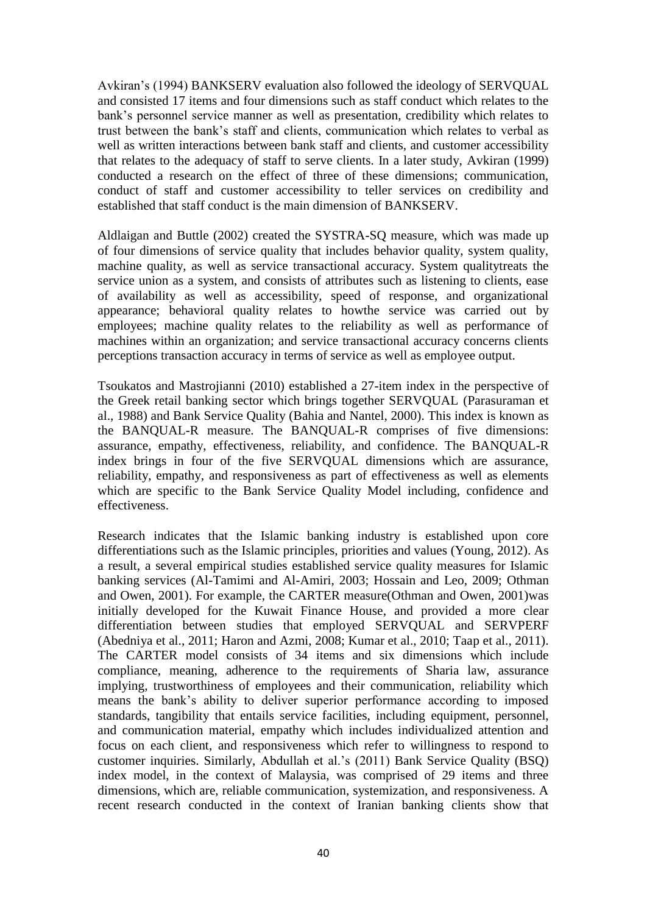Avkiran's (1994) BANKSERV evaluation also followed the ideology of SERVQUAL and consisted 17 items and four dimensions such as staff conduct which relates to the bank's personnel service manner as well as presentation, credibility which relates to trust between the bank's staff and clients, communication which relates to verbal as well as written interactions between bank staff and clients, and customer accessibility that relates to the adequacy of staff to serve clients. In a later study, Avkiran (1999) conducted a research on the effect of three of these dimensions; communication, conduct of staff and customer accessibility to teller services on credibility and established that staff conduct is the main dimension of BANKSERV.

Aldlaigan and Buttle (2002) created the SYSTRA-SQ measure, which was made up of four dimensions of service quality that includes behavior quality, system quality, machine quality, as well as service transactional accuracy. System qualitytreats the service union as a system, and consists of attributes such as listening to clients, ease of availability as well as accessibility, speed of response, and organizational appearance; behavioral quality relates to howthe service was carried out by employees; machine quality relates to the reliability as well as performance of machines within an organization; and service transactional accuracy concerns clients perceptions transaction accuracy in terms of service as well as employee output.

Tsoukatos and Mastrojianni (2010) established a 27-item index in the perspective of the Greek retail banking sector which brings together SERVQUAL (Parasuraman et al., 1988) and Bank Service Quality (Bahia and Nantel, 2000). This index is known as the BANQUAL-R measure. The BANQUAL-R comprises of five dimensions: assurance, empathy, effectiveness, reliability, and confidence. The BANQUAL-R index brings in four of the five SERVQUAL dimensions which are assurance, reliability, empathy, and responsiveness as part of effectiveness as well as elements which are specific to the Bank Service Quality Model including, confidence and effectiveness.

Research indicates that the Islamic banking industry is established upon core differentiations such as the Islamic principles, priorities and values (Young, 2012). As a result, a several empirical studies established service quality measures for Islamic banking services (Al-Tamimi and Al-Amiri, 2003; Hossain and Leo, 2009; Othman and Owen, 2001). For example, the CARTER measure(Othman and Owen, 2001)was initially developed for the Kuwait Finance House, and provided a more clear differentiation between studies that employed SERVQUAL and SERVPERF (Abedniya et al., 2011; Haron and Azmi, 2008; Kumar et al., 2010; Taap et al., 2011). The CARTER model consists of 34 items and six dimensions which include compliance, meaning, adherence to the requirements of Sharia law, assurance implying, trustworthiness of employees and their communication, reliability which means the bank's ability to deliver superior performance according to imposed standards, tangibility that entails service facilities, including equipment, personnel, and communication material, empathy which includes individualized attention and focus on each client, and responsiveness which refer to willingness to respond to customer inquiries. Similarly, Abdullah et al.'s (2011) Bank Service Quality (BSQ) index model, in the context of Malaysia, was comprised of 29 items and three dimensions, which are, reliable communication, systemization, and responsiveness. A recent research conducted in the context of Iranian banking clients show that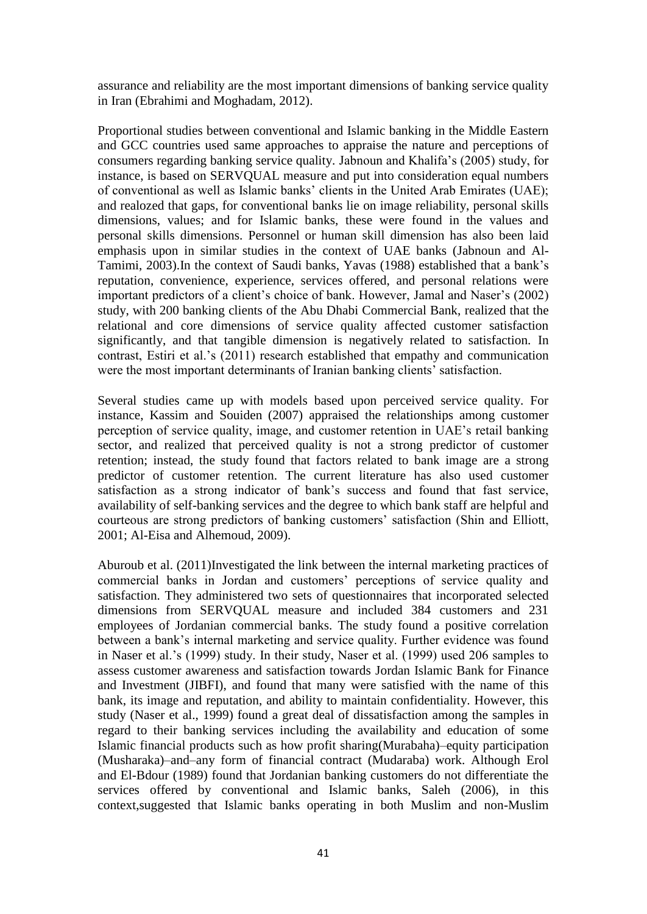assurance and reliability are the most important dimensions of banking service quality in Iran (Ebrahimi and Moghadam, 2012).

Proportional studies between conventional and Islamic banking in the Middle Eastern and GCC countries used same approaches to appraise the nature and perceptions of consumers regarding banking service quality. Jabnoun and Khalifa's (2005) study, for instance, is based on SERVQUAL measure and put into consideration equal numbers of conventional as well as Islamic banks' clients in the United Arab Emirates (UAE); and realozed that gaps, for conventional banks lie on image reliability, personal skills dimensions, values; and for Islamic banks, these were found in the values and personal skills dimensions. Personnel or human skill dimension has also been laid emphasis upon in similar studies in the context of UAE banks (Jabnoun and Al-Tamimi, 2003).In the context of Saudi banks, Yavas (1988) established that a bank's reputation, convenience, experience, services offered, and personal relations were important predictors of a client's choice of bank. However, Jamal and Naser's (2002) study, with 200 banking clients of the Abu Dhabi Commercial Bank, realized that the relational and core dimensions of service quality affected customer satisfaction significantly, and that tangible dimension is negatively related to satisfaction. In contrast, Estiri et al.'s (2011) research established that empathy and communication were the most important determinants of Iranian banking clients' satisfaction.

Several studies came up with models based upon perceived service quality. For instance, Kassim and Souiden (2007) appraised the relationships among customer perception of service quality, image, and customer retention in UAE's retail banking sector, and realized that perceived quality is not a strong predictor of customer retention; instead, the study found that factors related to bank image are a strong predictor of customer retention. The current literature has also used customer satisfaction as a strong indicator of bank's success and found that fast service, availability of self-banking services and the degree to which bank staff are helpful and courteous are strong predictors of banking customers' satisfaction (Shin and Elliott, 2001; Al-Eisa and Alhemoud, 2009).

Aburoub et al. (2011)Investigated the link between the internal marketing practices of commercial banks in Jordan and customers' perceptions of service quality and satisfaction. They administered two sets of questionnaires that incorporated selected dimensions from SERVQUAL measure and included 384 customers and 231 employees of Jordanian commercial banks. The study found a positive correlation between a bank's internal marketing and service quality. Further evidence was found in Naser et al.'s (1999) study. In their study, Naser et al. (1999) used 206 samples to assess customer awareness and satisfaction towards Jordan Islamic Bank for Finance and Investment (JIBFI), and found that many were satisfied with the name of this bank, its image and reputation, and ability to maintain confidentiality. However, this study (Naser et al., 1999) found a great deal of dissatisfaction among the samples in regard to their banking services including the availability and education of some Islamic financial products such as how profit sharing(Murabaha)–equity participation (Musharaka)–and–any form of financial contract (Mudaraba) work. Although Erol and El-Bdour (1989) found that Jordanian banking customers do not differentiate the services offered by conventional and Islamic banks, Saleh (2006), in this context,suggested that Islamic banks operating in both Muslim and non-Muslim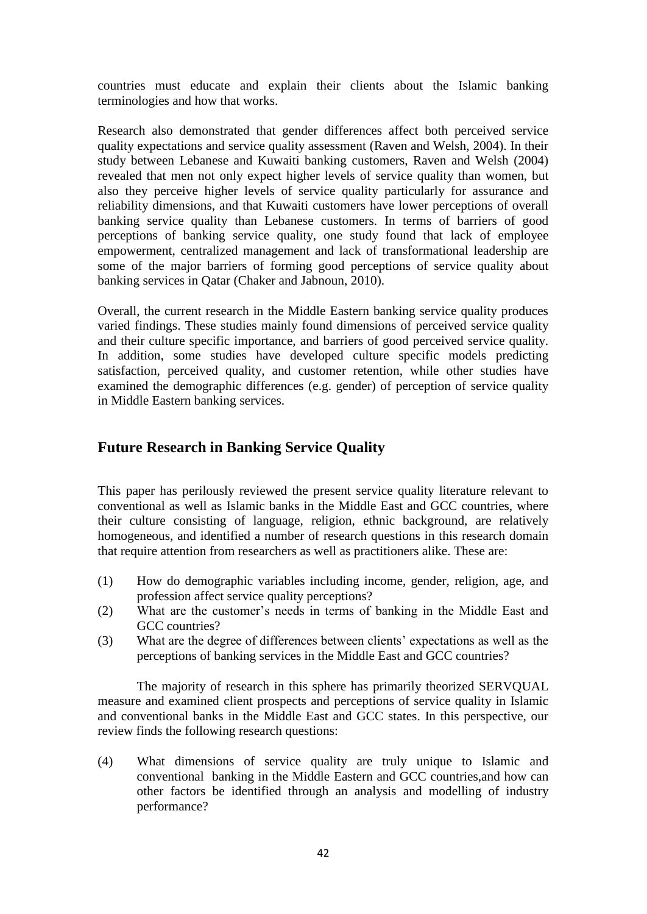countries must educate and explain their clients about the Islamic banking terminologies and how that works.

Research also demonstrated that gender differences affect both perceived service quality expectations and service quality assessment (Raven and Welsh, 2004). In their study between Lebanese and Kuwaiti banking customers, Raven and Welsh (2004) revealed that men not only expect higher levels of service quality than women, but also they perceive higher levels of service quality particularly for assurance and reliability dimensions, and that Kuwaiti customers have lower perceptions of overall banking service quality than Lebanese customers. In terms of barriers of good perceptions of banking service quality, one study found that lack of employee empowerment, centralized management and lack of transformational leadership are some of the major barriers of forming good perceptions of service quality about banking services in Qatar (Chaker and Jabnoun, 2010).

Overall, the current research in the Middle Eastern banking service quality produces varied findings. These studies mainly found dimensions of perceived service quality and their culture specific importance, and barriers of good perceived service quality. In addition, some studies have developed culture specific models predicting satisfaction, perceived quality, and customer retention, while other studies have examined the demographic differences (e.g. gender) of perception of service quality in Middle Eastern banking services.

### **Future Research in Banking Service Quality**

This paper has perilously reviewed the present service quality literature relevant to conventional as well as Islamic banks in the Middle East and GCC countries, where their culture consisting of language, religion, ethnic background, are relatively homogeneous, and identified a number of research questions in this research domain that require attention from researchers as well as practitioners alike. These are:

- (1) How do demographic variables including income, gender, religion, age, and profession affect service quality perceptions?
- (2) What are the customer's needs in terms of banking in the Middle East and GCC countries?
- (3) What are the degree of differences between clients' expectations as well as the perceptions of banking services in the Middle East and GCC countries?

The majority of research in this sphere has primarily theorized SERVQUAL measure and examined client prospects and perceptions of service quality in Islamic and conventional banks in the Middle East and GCC states. In this perspective, our review finds the following research questions:

(4) What dimensions of service quality are truly unique to Islamic and conventional banking in the Middle Eastern and GCC countries,and how can other factors be identified through an analysis and modelling of industry performance?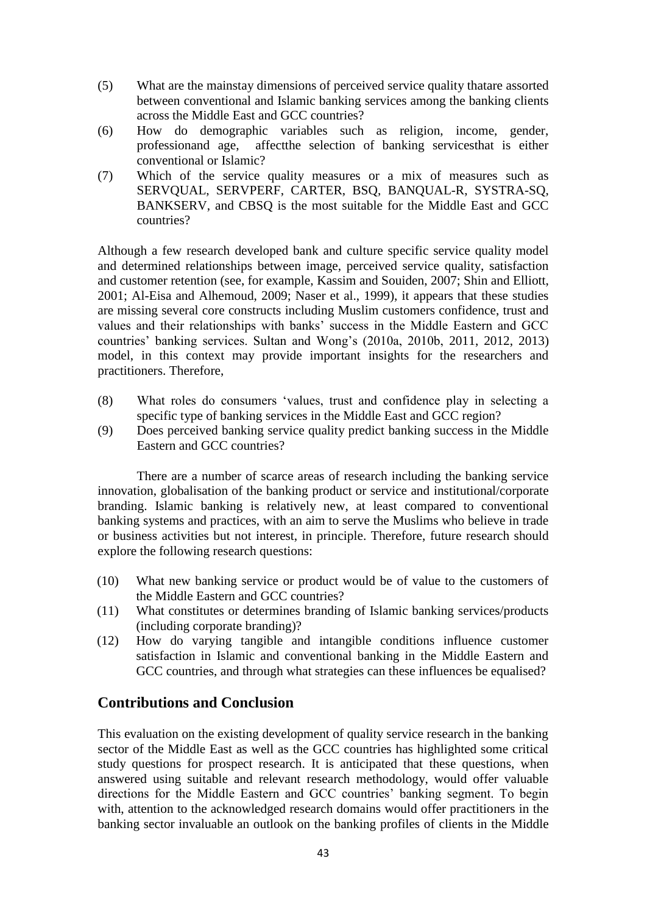- (5) What are the mainstay dimensions of perceived service quality thatare assorted between conventional and Islamic banking services among the banking clients across the Middle East and GCC countries?
- (6) How do demographic variables such as religion, income, gender, professionand age, affectthe selection of banking servicesthat is either conventional or Islamic?
- (7) Which of the service quality measures or a mix of measures such as SERVQUAL, SERVPERF, CARTER, BSQ, BANQUAL-R, SYSTRA-SQ, BANKSERV, and CBSQ is the most suitable for the Middle East and GCC countries?

Although a few research developed bank and culture specific service quality model and determined relationships between image, perceived service quality, satisfaction and customer retention (see, for example, Kassim and Souiden, 2007; Shin and Elliott, 2001; Al-Eisa and Alhemoud, 2009; Naser et al., 1999), it appears that these studies are missing several core constructs including Muslim customers confidence, trust and values and their relationships with banks' success in the Middle Eastern and GCC countries' banking services. Sultan and Wong's (2010a, 2010b, 2011, 2012, 2013) model, in this context may provide important insights for the researchers and practitioners. Therefore,

- (8) What roles do consumers 'values, trust and confidence play in selecting a specific type of banking services in the Middle East and GCC region?
- (9) Does perceived banking service quality predict banking success in the Middle Eastern and GCC countries?

There are a number of scarce areas of research including the banking service innovation, globalisation of the banking product or service and institutional/corporate branding. Islamic banking is relatively new, at least compared to conventional banking systems and practices, with an aim to serve the Muslims who believe in trade or business activities but not interest, in principle. Therefore, future research should explore the following research questions:

- (10) What new banking service or product would be of value to the customers of the Middle Eastern and GCC countries?
- (11) What constitutes or determines branding of Islamic banking services/products (including corporate branding)?
- (12) How do varying tangible and intangible conditions influence customer satisfaction in Islamic and conventional banking in the Middle Eastern and GCC countries, and through what strategies can these influences be equalised?

## **Contributions and Conclusion**

This evaluation on the existing development of quality service research in the banking sector of the Middle East as well as the GCC countries has highlighted some critical study questions for prospect research. It is anticipated that these questions, when answered using suitable and relevant research methodology, would offer valuable directions for the Middle Eastern and GCC countries' banking segment. To begin with, attention to the acknowledged research domains would offer practitioners in the banking sector invaluable an outlook on the banking profiles of clients in the Middle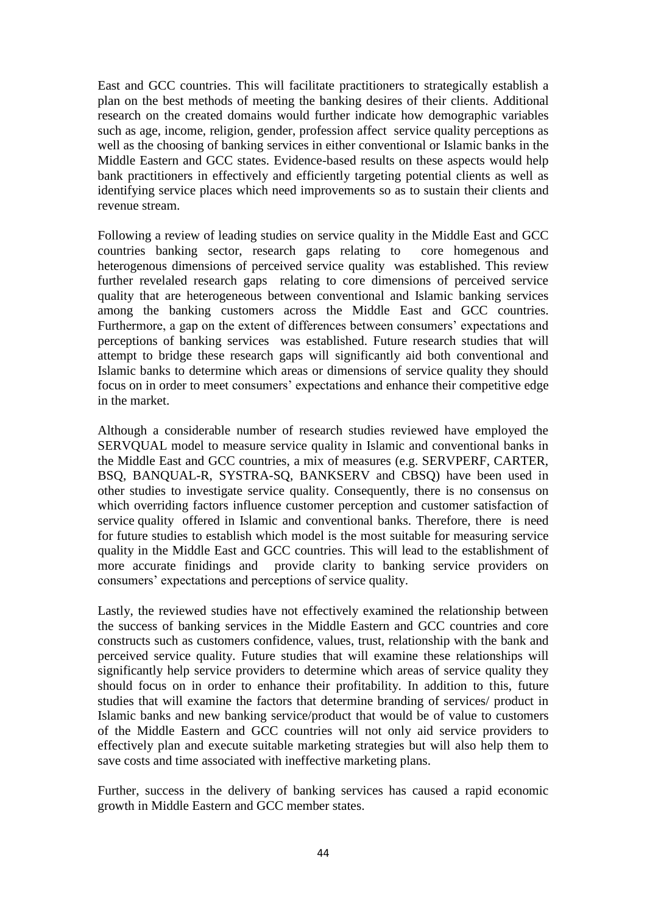East and GCC countries. This will facilitate practitioners to strategically establish a plan on the best methods of meeting the banking desires of their clients. Additional research on the created domains would further indicate how demographic variables such as age, income, religion, gender, profession affect service quality perceptions as well as the choosing of banking services in either conventional or Islamic banks in the Middle Eastern and GCC states. Evidence-based results on these aspects would help bank practitioners in effectively and efficiently targeting potential clients as well as identifying service places which need improvements so as to sustain their clients and revenue stream.

Following a review of leading studies on service quality in the Middle East and GCC countries banking sector, research gaps relating to core homegenous and heterogenous dimensions of perceived service quality was established. This review further revelaled research gaps relating to core dimensions of perceived service quality that are heterogeneous between conventional and Islamic banking services among the banking customers across the Middle East and GCC countries. Furthermore, a gap on the extent of differences between consumers' expectations and perceptions of banking services was established. Future research studies that will attempt to bridge these research gaps will significantly aid both conventional and Islamic banks to determine which areas or dimensions of service quality they should focus on in order to meet consumers' expectations and enhance their competitive edge in the market.

Although a considerable number of research studies reviewed have employed the SERVQUAL model to measure service quality in Islamic and conventional banks in the Middle East and GCC countries, a mix of measures (e.g. SERVPERF, CARTER, BSQ, BANQUAL-R, SYSTRA-SQ, BANKSERV and CBSQ) have been used in other studies to investigate service quality. Consequently, there is no consensus on which overriding factors influence customer perception and customer satisfaction of service quality offered in Islamic and conventional banks. Therefore, there is need for future studies to establish which model is the most suitable for measuring service quality in the Middle East and GCC countries. This will lead to the establishment of more accurate finidings and provide clarity to banking service providers on consumers' expectations and perceptions of service quality.

Lastly, the reviewed studies have not effectively examined the relationship between the success of banking services in the Middle Eastern and GCC countries and core constructs such as customers confidence, values, trust, relationship with the bank and perceived service quality. Future studies that will examine these relationships will significantly help service providers to determine which areas of service quality they should focus on in order to enhance their profitability. In addition to this, future studies that will examine the factors that determine branding of services/ product in Islamic banks and new banking service/product that would be of value to customers of the Middle Eastern and GCC countries will not only aid service providers to effectively plan and execute suitable marketing strategies but will also help them to save costs and time associated with ineffective marketing plans.

Further, success in the delivery of banking services has caused a rapid economic growth in Middle Eastern and GCC member states.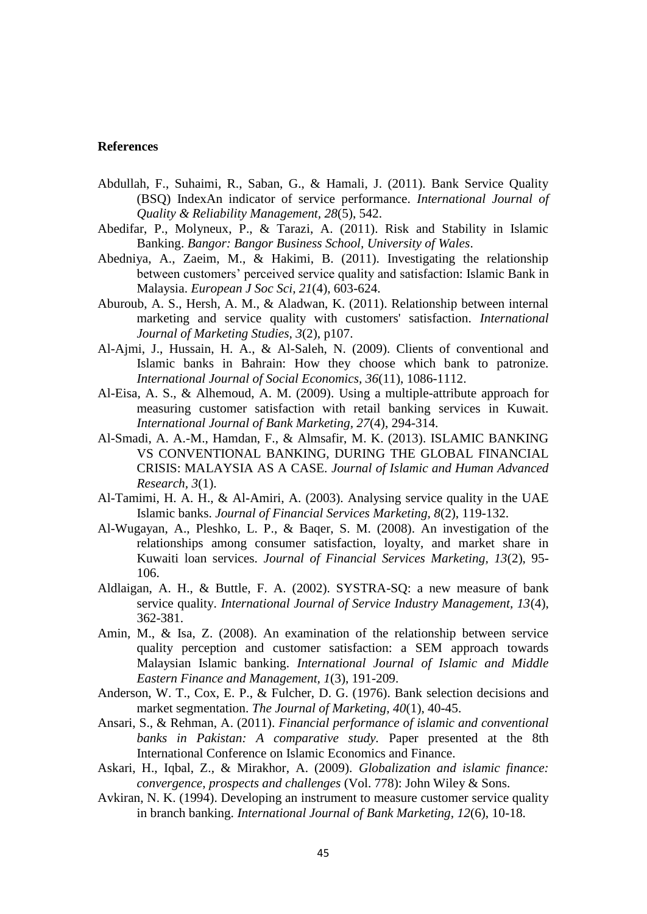#### **References**

- Abdullah, F., Suhaimi, R., Saban, G., & Hamali, J. (2011). Bank Service Quality (BSQ) IndexAn indicator of service performance. *International Journal of Quality & Reliability Management, 28*(5), 542.
- Abedifar, P., Molyneux, P., & Tarazi, A. (2011). Risk and Stability in Islamic Banking. *Bangor: Bangor Business School, University of Wales*.
- Abedniya, A., Zaeim, M., & Hakimi, B. (2011). Investigating the relationship between customers' perceived service quality and satisfaction: Islamic Bank in Malaysia. *European J Soc Sci, 21*(4), 603-624.
- Aburoub, A. S., Hersh, A. M., & Aladwan, K. (2011). Relationship between internal marketing and service quality with customers' satisfaction. *International Journal of Marketing Studies, 3*(2), p107.
- Al-Ajmi, J., Hussain, H. A., & Al-Saleh, N. (2009). Clients of conventional and Islamic banks in Bahrain: How they choose which bank to patronize. *International Journal of Social Economics, 36*(11), 1086-1112.
- Al-Eisa, A. S., & Alhemoud, A. M. (2009). Using a multiple-attribute approach for measuring customer satisfaction with retail banking services in Kuwait. *International Journal of Bank Marketing, 27*(4), 294-314.
- Al-Smadi, A. A.-M., Hamdan, F., & Almsafir, M. K. (2013). ISLAMIC BANKING VS CONVENTIONAL BANKING, DURING THE GLOBAL FINANCIAL CRISIS: MALAYSIA AS A CASE. *Journal of Islamic and Human Advanced Research, 3*(1).
- Al-Tamimi, H. A. H., & Al-Amiri, A. (2003). Analysing service quality in the UAE Islamic banks. *Journal of Financial Services Marketing, 8*(2), 119-132.
- Al-Wugayan, A., Pleshko, L. P., & Baqer, S. M. (2008). An investigation of the relationships among consumer satisfaction, loyalty, and market share in Kuwaiti loan services. *Journal of Financial Services Marketing, 13*(2), 95- 106.
- Aldlaigan, A. H., & Buttle, F. A. (2002). SYSTRA-SQ: a new measure of bank service quality. *International Journal of Service Industry Management, 13*(4), 362-381.
- Amin, M., & Isa, Z. (2008). An examination of the relationship between service quality perception and customer satisfaction: a SEM approach towards Malaysian Islamic banking. *International Journal of Islamic and Middle Eastern Finance and Management, 1*(3), 191-209.
- Anderson, W. T., Cox, E. P., & Fulcher, D. G. (1976). Bank selection decisions and market segmentation. *The Journal of Marketing, 40*(1), 40-45.
- Ansari, S., & Rehman, A. (2011). *Financial performance of islamic and conventional banks in Pakistan: A comparative study.* Paper presented at the 8th International Conference on Islamic Economics and Finance.
- Askari, H., Iqbal, Z., & Mirakhor, A. (2009). *Globalization and islamic finance: convergence, prospects and challenges* (Vol. 778): John Wiley & Sons.
- Avkiran, N. K. (1994). Developing an instrument to measure customer service quality in branch banking. *International Journal of Bank Marketing, 12*(6), 10-18.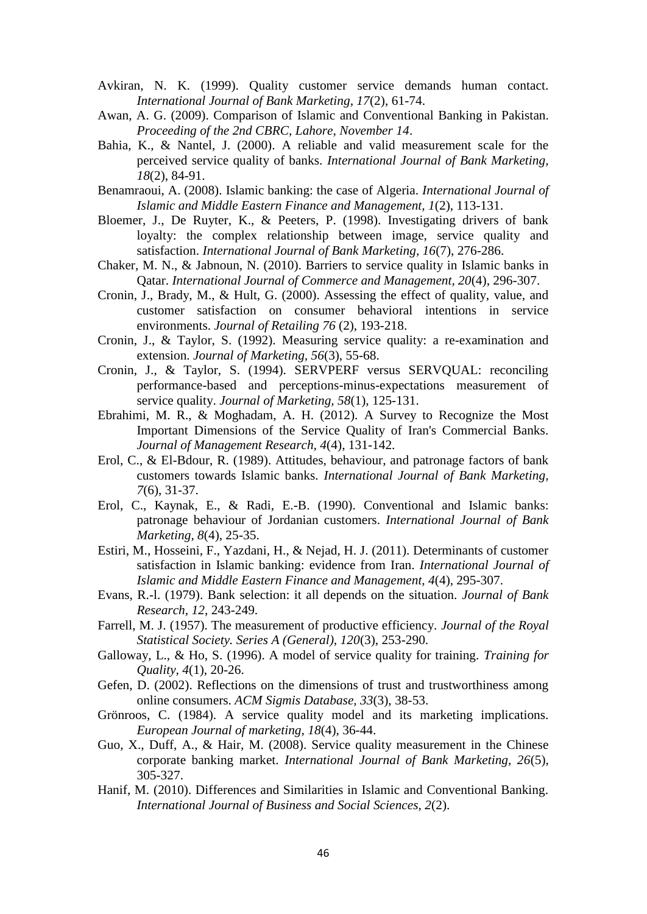- Avkiran, N. K. (1999). Quality customer service demands human contact. *International Journal of Bank Marketing, 17*(2), 61-74.
- Awan, A. G. (2009). Comparison of Islamic and Conventional Banking in Pakistan. *Proceeding of the 2nd CBRC, Lahore, November 14*.
- Bahia, K., & Nantel, J. (2000). A reliable and valid measurement scale for the perceived service quality of banks. *International Journal of Bank Marketing, 18*(2), 84-91.
- Benamraoui, A. (2008). Islamic banking: the case of Algeria. *International Journal of Islamic and Middle Eastern Finance and Management, 1*(2), 113-131.
- Bloemer, J., De Ruyter, K., & Peeters, P. (1998). Investigating drivers of bank loyalty: the complex relationship between image, service quality and satisfaction. *International Journal of Bank Marketing, 16*(7), 276-286.
- Chaker, M. N., & Jabnoun, N. (2010). Barriers to service quality in Islamic banks in Qatar. *International Journal of Commerce and Management, 20*(4), 296-307.
- Cronin, J., Brady, M., & Hult, G. (2000). Assessing the effect of quality, value, and customer satisfaction on consumer behavioral intentions in service environments. *Journal of Retailing 76* (2), 193-218.
- Cronin, J., & Taylor, S. (1992). Measuring service quality: a re-examination and extension. *Journal of Marketing, 56*(3), 55-68.
- Cronin, J., & Taylor, S. (1994). SERVPERF versus SERVQUAL: reconciling performance-based and perceptions-minus-expectations measurement of service quality. *Journal of Marketing, 58*(1), 125-131.
- Ebrahimi, M. R., & Moghadam, A. H. (2012). A Survey to Recognize the Most Important Dimensions of the Service Quality of Iran's Commercial Banks. *Journal of Management Research, 4*(4), 131-142.
- Erol, C., & El-Bdour, R. (1989). Attitudes, behaviour, and patronage factors of bank customers towards Islamic banks. *International Journal of Bank Marketing, 7*(6), 31-37.
- Erol, C., Kaynak, E., & Radi, E.-B. (1990). Conventional and Islamic banks: patronage behaviour of Jordanian customers. *International Journal of Bank Marketing, 8*(4), 25-35.
- Estiri, M., Hosseini, F., Yazdani, H., & Nejad, H. J. (2011). Determinants of customer satisfaction in Islamic banking: evidence from Iran. *International Journal of Islamic and Middle Eastern Finance and Management, 4*(4), 295-307.
- Evans, R.-l. (1979). Bank selection: it all depends on the situation. *Journal of Bank Research, 12*, 243-249.
- Farrell, M. J. (1957). The measurement of productive efficiency. *Journal of the Royal Statistical Society. Series A (General), 120*(3), 253-290.
- Galloway, L., & Ho, S. (1996). A model of service quality for training. *Training for Quality, 4*(1), 20-26.
- Gefen, D. (2002). Reflections on the dimensions of trust and trustworthiness among online consumers. *ACM Sigmis Database, 33*(3), 38-53.
- Grönroos, C. (1984). A service quality model and its marketing implications. *European Journal of marketing, 18*(4), 36-44.
- Guo, X., Duff, A., & Hair, M. (2008). Service quality measurement in the Chinese corporate banking market. *International Journal of Bank Marketing, 26*(5), 305-327.
- Hanif, M. (2010). Differences and Similarities in Islamic and Conventional Banking. *International Journal of Business and Social Sciences, 2*(2).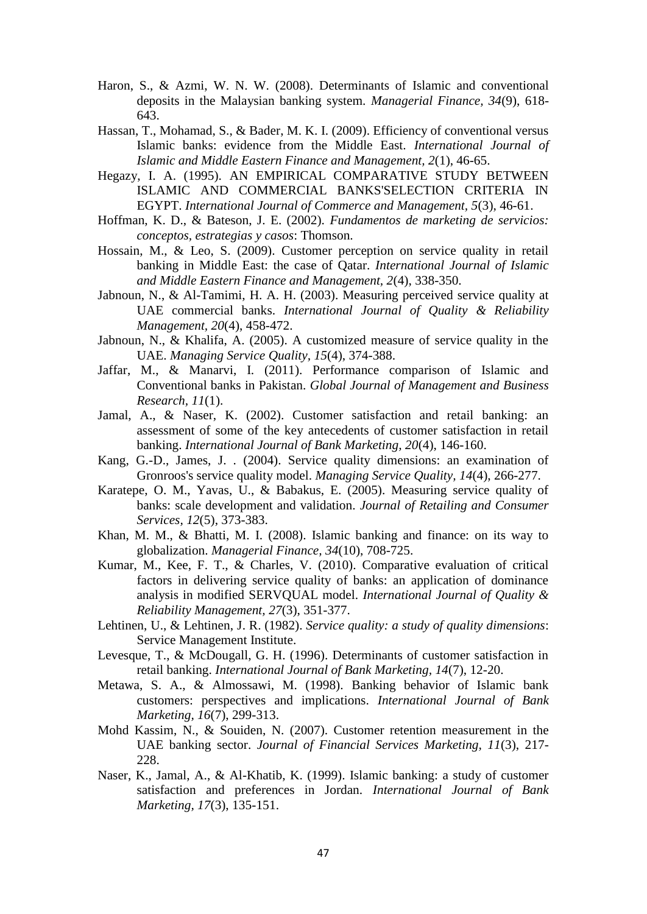- Haron, S., & Azmi, W. N. W. (2008). Determinants of Islamic and conventional deposits in the Malaysian banking system. *Managerial Finance, 34*(9), 618- 643.
- Hassan, T., Mohamad, S., & Bader, M. K. I. (2009). Efficiency of conventional versus Islamic banks: evidence from the Middle East. *International Journal of Islamic and Middle Eastern Finance and Management, 2*(1), 46-65.
- Hegazy, I. A. (1995). AN EMPIRICAL COMPARATIVE STUDY BETWEEN ISLAMIC AND COMMERCIAL BANKS'SELECTION CRITERIA IN EGYPT. *International Journal of Commerce and Management, 5*(3), 46-61.
- Hoffman, K. D., & Bateson, J. E. (2002). *Fundamentos de marketing de servicios: conceptos, estrategias y casos*: Thomson.
- Hossain, M., & Leo, S. (2009). Customer perception on service quality in retail banking in Middle East: the case of Qatar. *International Journal of Islamic and Middle Eastern Finance and Management, 2*(4), 338-350.
- Jabnoun, N., & Al-Tamimi, H. A. H. (2003). Measuring perceived service quality at UAE commercial banks. *International Journal of Quality & Reliability Management, 20*(4), 458-472.
- Jabnoun, N., & Khalifa, A. (2005). A customized measure of service quality in the UAE. *Managing Service Quality, 15*(4), 374-388.
- Jaffar, M., & Manarvi, I. (2011). Performance comparison of Islamic and Conventional banks in Pakistan. *Global Journal of Management and Business Research, 11*(1).
- Jamal, A., & Naser, K. (2002). Customer satisfaction and retail banking: an assessment of some of the key antecedents of customer satisfaction in retail banking. *International Journal of Bank Marketing, 20*(4), 146-160.
- Kang, G.-D., James, J. . (2004). Service quality dimensions: an examination of Gronroos's service quality model. *Managing Service Quality, 14*(4), 266-277.
- Karatepe, O. M., Yavas, U., & Babakus, E. (2005). Measuring service quality of banks: scale development and validation. *Journal of Retailing and Consumer Services, 12*(5), 373-383.
- Khan, M. M., & Bhatti, M. I. (2008). Islamic banking and finance: on its way to globalization. *Managerial Finance, 34*(10), 708-725.
- Kumar, M., Kee, F. T., & Charles, V. (2010). Comparative evaluation of critical factors in delivering service quality of banks: an application of dominance analysis in modified SERVQUAL model. *International Journal of Quality & Reliability Management, 27*(3), 351-377.
- Lehtinen, U., & Lehtinen, J. R. (1982). *Service quality: a study of quality dimensions*: Service Management Institute.
- Levesque, T., & McDougall, G. H. (1996). Determinants of customer satisfaction in retail banking. *International Journal of Bank Marketing, 14*(7), 12-20.
- Metawa, S. A., & Almossawi, M. (1998). Banking behavior of Islamic bank customers: perspectives and implications. *International Journal of Bank Marketing, 16*(7), 299-313.
- Mohd Kassim, N., & Souiden, N. (2007). Customer retention measurement in the UAE banking sector. *Journal of Financial Services Marketing, 11*(3), 217- 228.
- Naser, K., Jamal, A., & Al-Khatib, K. (1999). Islamic banking: a study of customer satisfaction and preferences in Jordan. *International Journal of Bank Marketing, 17*(3), 135-151.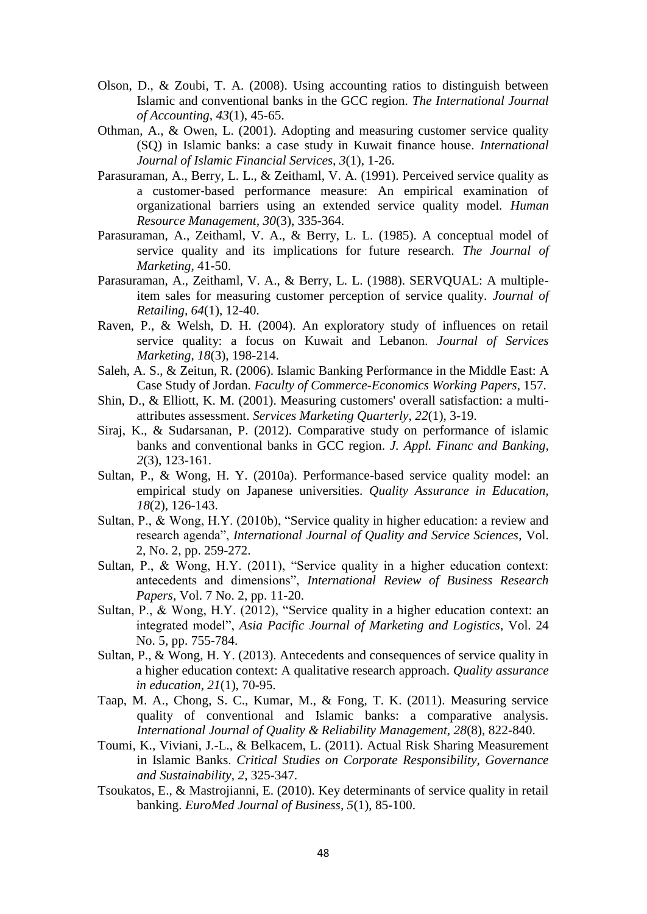- Olson, D., & Zoubi, T. A. (2008). Using accounting ratios to distinguish between Islamic and conventional banks in the GCC region. *The International Journal of Accounting, 43*(1), 45-65.
- Othman, A., & Owen, L. (2001). Adopting and measuring customer service quality (SQ) in Islamic banks: a case study in Kuwait finance house. *International Journal of Islamic Financial Services, 3*(1), 1-26.
- Parasuraman, A., Berry, L. L., & Zeithaml, V. A. (1991). Perceived service quality as a customer‐based performance measure: An empirical examination of organizational barriers using an extended service quality model. *Human Resource Management, 30*(3), 335-364.
- Parasuraman, A., Zeithaml, V. A., & Berry, L. L. (1985). A conceptual model of service quality and its implications for future research. *The Journal of Marketing*, 41-50.
- Parasuraman, A., Zeithaml, V. A., & Berry, L. L. (1988). SERVQUAL: A multipleitem sales for measuring customer perception of service quality. *Journal of Retailing, 64*(1), 12-40.
- Raven, P., & Welsh, D. H. (2004). An exploratory study of influences on retail service quality: a focus on Kuwait and Lebanon. *Journal of Services Marketing, 18*(3), 198-214.
- Saleh, A. S., & Zeitun, R. (2006). Islamic Banking Performance in the Middle East: A Case Study of Jordan. *Faculty of Commerce-Economics Working Papers*, 157.
- Shin, D., & Elliott, K. M. (2001). Measuring customers' overall satisfaction: a multiattributes assessment. *Services Marketing Quarterly, 22*(1), 3-19.
- Siraj, K., & Sudarsanan, P. (2012). Comparative study on performance of islamic banks and conventional banks in GCC region. *J. Appl. Financ and Banking, 2*(3), 123-161.
- Sultan, P., & Wong, H. Y. (2010a). Performance-based service quality model: an empirical study on Japanese universities. *Quality Assurance in Education, 18*(2), 126-143.
- Sultan, P., & Wong, H.Y. (2010b), "Service quality in higher education: a review and research agenda", *International Journal of Quality and Service Sciences*, Vol. 2, No. 2, pp. 259-272.
- Sultan, P., & Wong, H.Y. (2011), "Service quality in a higher education context: antecedents and dimensions", *International Review of Business Research Papers*, Vol. 7 No. 2, pp. 11-20.
- Sultan, P., & Wong, H.Y. (2012), "Service quality in a higher education context: an integrated model", *Asia Pacific Journal of Marketing and Logistics*, Vol. 24 No. 5, pp. 755-784.
- Sultan, P., & Wong, H. Y. (2013). Antecedents and consequences of service quality in a higher education context: A qualitative research approach. *Quality assurance in education, 21*(1), 70-95.
- Taap, M. A., Chong, S. C., Kumar, M., & Fong, T. K. (2011). Measuring service quality of conventional and Islamic banks: a comparative analysis. *International Journal of Quality & Reliability Management, 28*(8), 822-840.
- Toumi, K., Viviani, J.-L., & Belkacem, L. (2011). Actual Risk Sharing Measurement in Islamic Banks. *Critical Studies on Corporate Responsibility, Governance and Sustainability, 2*, 325-347.
- Tsoukatos, E., & Mastrojianni, E. (2010). Key determinants of service quality in retail banking. *EuroMed Journal of Business, 5*(1), 85-100.